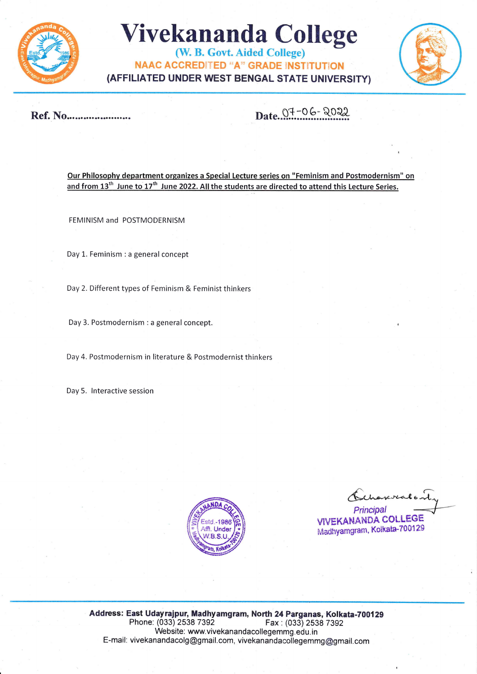

## **Vivekananda College**

(W. B. Govt. Aided College) **NAAC ACCREDITED "A" GRADE INSTITUTION** (AFFILIATED UNDER WEST BENGAL STATE UNIVERSITY)



Ref. No........................

Date 07-06-2022

Our Philosophy department organizes a Special Lecture series on "Feminism and Postmodernism" on and from 13<sup>th</sup> June to 17<sup>th</sup> June 2022. All the students are directed to attend this Lecture Series.

FEMINISM and POSTMODERNISM

Day 1. Feminism : a general concept

Day 2. Different types of Feminism & Feminist thinkers

Day 3. Postmodernism : a general concept.

Day 4. Postmodernism in literature & Postmodernist thinkers

Day 5. Interactive session



reveale. Principal **VIVEKANANDA COLLEGE** Madhyamgram, Kolkata-700129

Address: East Udayrajpur, Madhyamgram, North 24 Parganas, Kolkata-700129 Phone: (033) 2538 7392 Fax: (033) 2538 7392 Website: www.vivekanandacollegemmg.edu.in E-mail: vivekanandacolg@gmail.com, vivekanandacollegemmg@gmail.com